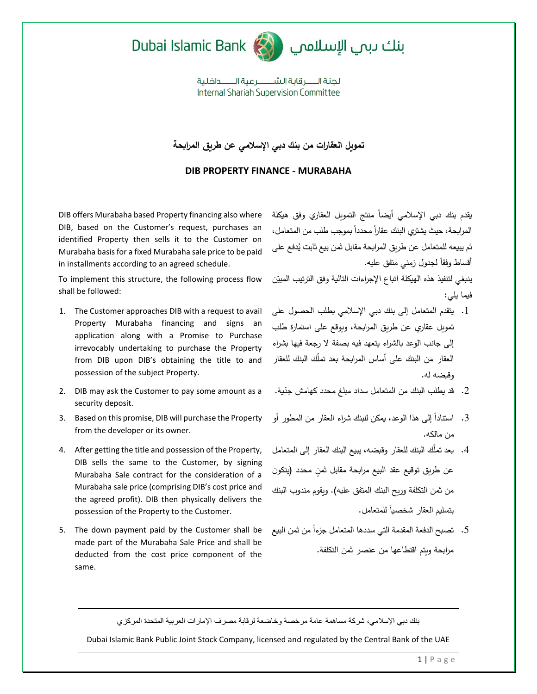



لحنة الــــــر قاية الشــــــــر عية الــــــــداخلية **Internal Shariah Supervision Committee** 

## **تمويل العقارات من بنك دبي اإلسالمي عن طريق المرابحة**

## **DIB PROPERTY FINANCE - MURABAHA**

DIB offers Murabaha based Property financing also where DIB, based on the Customer's request, purchases an identified Property then sells it to the Customer on Murabaha basis for a fixed Murabaha sale price to be paid in installments according to an agreed schedule.

To implement this structure, the following process flow shall be followed:

- 1. The Customer approaches DIB with a request to avail Property Murabaha financing and signs an application along with a Promise to Purchase irrevocably undertaking to purchase the Property from DIB upon DIB's obtaining the title to and possession of the subject Property.
- 2. DIB may ask the Customer to pay some amount as a security deposit.
- 3. Based on this promise, DIB will purchase the Property from the developer or its owner.
- 4. After getting the title and possession of the Property, DIB sells the same to the Customer, by signing Murabaha Sale contract for the consideration of a Murabaha sale price (comprising DIB's cost price and the agreed profit). DIB then physically delivers the possession of the Property to the Customer.
- 5. The down payment paid by the Customer shall be made part of the Murabaha Sale Price and shall be deducted from the cost price component of the same.

يقدم بنك دبي الإسلامي أيضاً منتج التمويل العقاري وفق هيكلة المرابحة، حيث يشتري البنك عقاراً محدداً بموجب طلب من المتعامل، ثم يبيعه للمتعامل عن طريق المرابحة مقابل ثمن بيع ثابت يُدفع على أقساط وفقاً لجدول زمني متفق عليه.

ّن ينبغي لتنفيذ هذه الهيكلة اتباع اإلج ارءات التالية وفق الترتيب المبي فيما يلي:

- .1 يتقدم المتعامل إلى بنك دبي اإلسالمي بطلب الحصول على تمويل عقاري عن طريق الم اربحة، ويوقع على استمارة طلب إلى جانب الوعد بالشراء يتعهد فيه بصفة ال رجعة فيها بشراء العقار من البنك على أساس الم اربحة بعد تمّلك البنك للعقار وقبضه له.
- 2. قد يطلب البنك من المتعامل سداد مبلغ محدد كهامش جدّية.
- 3. استناداً إلى هذا الوعد، يمكن للبنك شراء العقار من المطور أو من مالكه.
- .4 بعد تمّلك البنك للعقار وقبضه، يبيع البنك العقار إلى المتعامل عن طريق توقيع عقد البيع مرابحة مقابل ثمن محدد (يتكون من ثمن التكلفة وربح البنك المتفق عليه). ويقوم مندوب البنك بتسليم العقار شخصياً للمتعامل.
- 5. تصبح الدفعة المقدمة التي سددها المتعامل جزءاً من ثمن البيع مرابحة ويتم اقتطاعها من عنصر ثمن التكلفة.

بنك دبي اإلسالمي، شركة مساهمة عامة مرخصة وخاضعة لرقابة مصرف اإلمارات العربية المتحدة المركزي

Dubai Islamic Bank Public Joint Stock Company, licensed and regulated by the Central Bank of the UAE